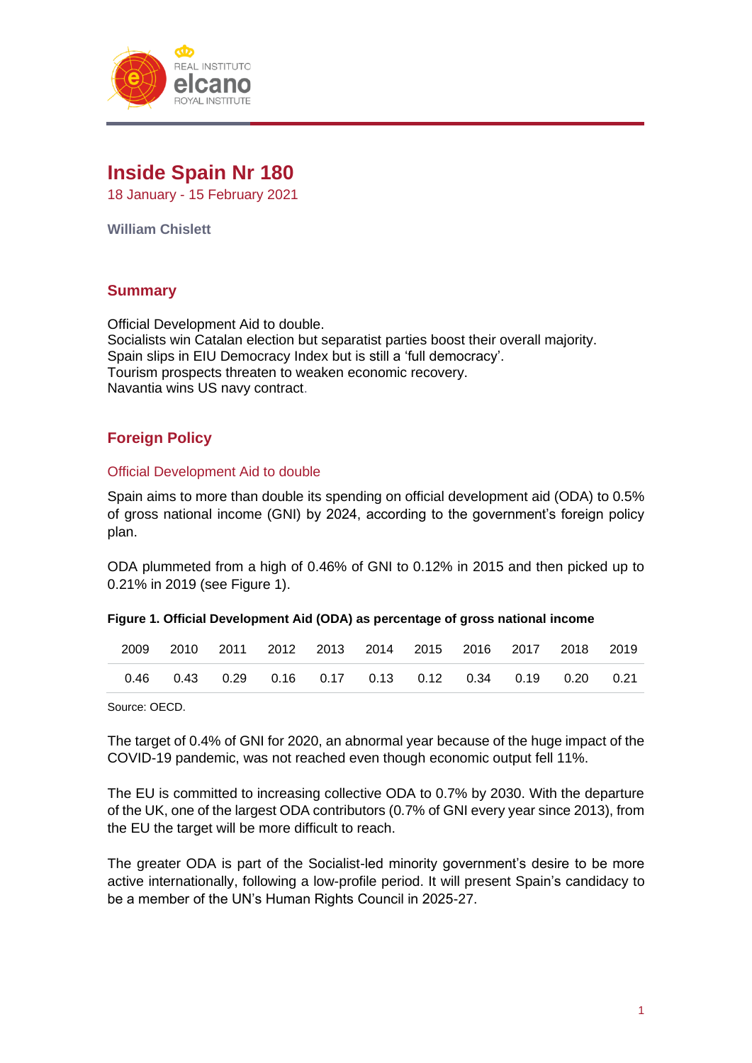

# **Inside Spain Nr 180**

18 January - 15 February 2021

**William Chislett**

# **Summary**

Official Development Aid to double. Socialists win Catalan election but separatist parties boost their overall majority. Spain slips in EIU Democracy Index but is still a 'full democracy'. Tourism prospects threaten to weaken economic recovery. Navantia wins US navy contract.

# **Foreign Policy**

## Official Development Aid to double

Spain aims to more than double its spending on official development aid (ODA) to 0.5% of gross national income (GNI) by 2024, according to the government's foreign policy plan.

ODA plummeted from a high of 0.46% of GNI to 0.12% in 2015 and then picked up to 0.21% in 2019 (see Figure 1).

#### **Figure 1. Official Development Aid (ODA) as percentage of gross national income**

|  | 2009 2010 2011 2012 2013 2014 2015 2016 2017 2018 2019                       |  |  |  |  |
|--|------------------------------------------------------------------------------|--|--|--|--|
|  | $0.46$ $0.43$ $0.29$ $0.16$ $0.17$ $0.13$ $0.12$ $0.34$ $0.19$ $0.20$ $0.21$ |  |  |  |  |

Source: OECD.

The target of 0.4% of GNI for 2020, an abnormal year because of the huge impact of the COVID-19 pandemic, was not reached even though economic output fell 11%.

The EU is committed to increasing collective ODA to 0.7% by 2030. With the departure of the UK, one of the largest ODA contributors (0.7% of GNI every year since 2013), from the EU the target will be more difficult to reach.

The greater ODA is part of the Socialist-led minority government's desire to be more active internationally, following a low-profile period. It will present Spain's candidacy to be a member of the UN's Human Rights Council in 2025-27.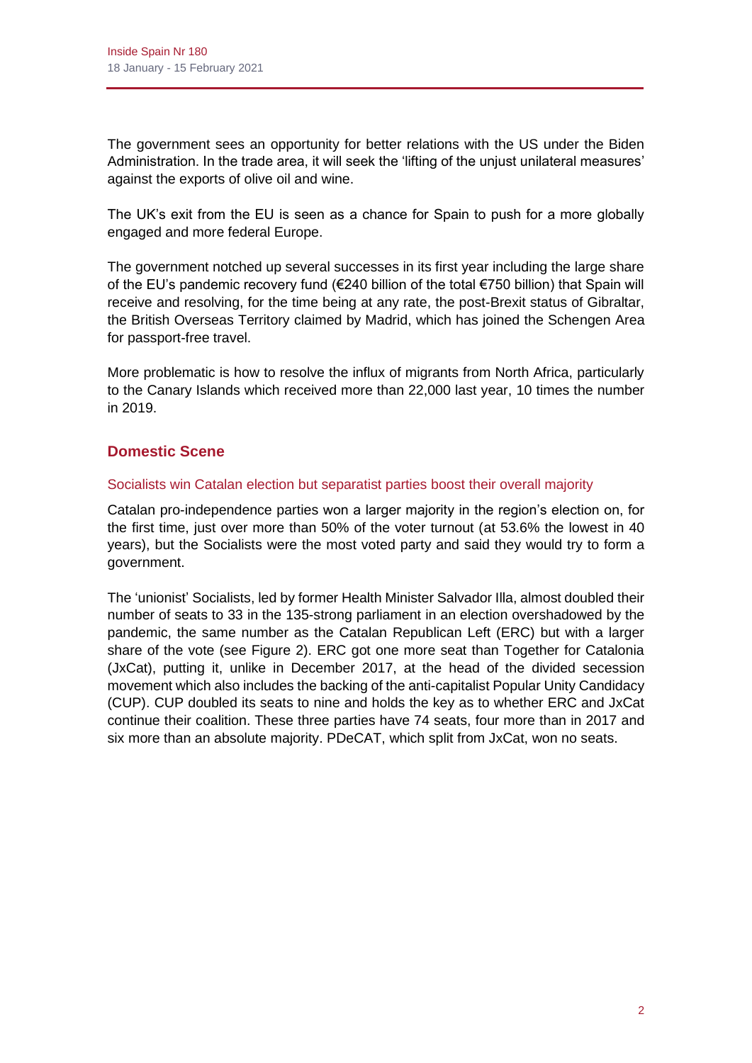The government sees an opportunity for better relations with the US under the Biden Administration. In the trade area, it will seek the 'lifting of the unjust unilateral measures' against the exports of olive oil and wine.

The UK's exit from the EU is seen as a chance for Spain to push for a more globally engaged and more federal Europe.

The government notched up several successes in its first year including the large share of the EU's pandemic recovery fund (€240 billion of the total €750 billion) that Spain will receive and resolving, for the time being at any rate, the post-Brexit status of Gibraltar, the British Overseas Territory claimed by Madrid, which has joined the Schengen Area for passport-free travel.

More problematic is how to resolve the influx of migrants from North Africa, particularly to the Canary Islands which received more than 22,000 last year, 10 times the number in 2019.

# **Domestic Scene**

# Socialists win Catalan election but separatist parties boost their overall majority

Catalan pro-independence parties won a larger majority in the region's election on, for the first time, just over more than 50% of the voter turnout (at 53.6% the lowest in 40 years), but the Socialists were the most voted party and said they would try to form a government.

The 'unionist' Socialists, led by former Health Minister Salvador Illa, almost doubled their number of seats to 33 in the 135-strong parliament in an election overshadowed by the pandemic, the same number as the Catalan Republican Left (ERC) but with a larger share of the vote (see Figure 2). ERC got one more seat than Together for Catalonia (JxCat), putting it, unlike in December 2017, at the head of the divided secession movement which also includes the backing of the anti-capitalist Popular Unity Candidacy (CUP). CUP doubled its seats to nine and holds the key as to whether ERC and JxCat continue their coalition. These three parties have 74 seats, four more than in 2017 and six more than an absolute majority. PDeCAT, which split from JxCat, won no seats.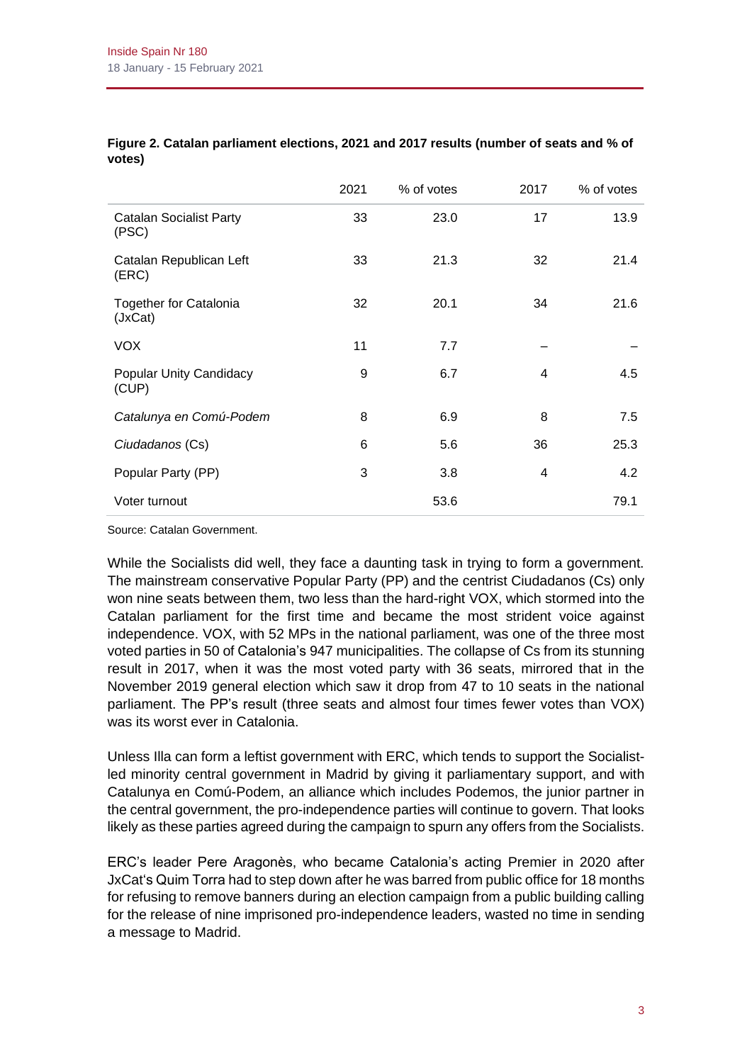|                                          | 2021 | % of votes | 2017 | % of votes |
|------------------------------------------|------|------------|------|------------|
| <b>Catalan Socialist Party</b><br>(PSC)  | 33   | 23.0       | 17   | 13.9       |
| Catalan Republican Left<br>(ERC)         | 33   | 21.3       | 32   | 21.4       |
| <b>Together for Catalonia</b><br>(JxCat) | 32   | 20.1       | 34   | 21.6       |
| <b>VOX</b>                               | 11   | 7.7        |      |            |
| <b>Popular Unity Candidacy</b><br>(CUP)  | 9    | 6.7        | 4    | 4.5        |
| Catalunya en Comú-Podem                  | 8    | 6.9        | 8    | 7.5        |
| Ciudadanos (Cs)                          | 6    | 5.6        | 36   | 25.3       |
| Popular Party (PP)                       | 3    | 3.8        | 4    | 4.2        |
| Voter turnout                            |      | 53.6       |      | 79.1       |

#### **Figure 2. Catalan parliament elections, 2021 and 2017 results (number of seats and % of votes)**

Source: Catalan Government.

While the Socialists did well, they face a daunting task in trying to form a government. The mainstream conservative Popular Party (PP) and the centrist Ciudadanos (Cs) only won nine seats between them, two less than the hard-right VOX, which stormed into the Catalan parliament for the first time and became the most strident voice against independence. VOX, with 52 MPs in the national parliament, was one of the three most voted parties in 50 of Catalonia's 947 municipalities. The collapse of Cs from its stunning result in 2017, when it was the most voted party with 36 seats, mirrored that in the November 2019 general election which saw it drop from 47 to 10 seats in the national parliament. The PP's result (three seats and almost four times fewer votes than VOX) was its worst ever in Catalonia.

Unless Illa can form a leftist government with ERC, which tends to support the Socialistled minority central government in Madrid by giving it parliamentary support, and with Catalunya en Comú-Podem, an alliance which includes Podemos, the junior partner in the central government, the pro-independence parties will continue to govern. That looks likely as these parties agreed during the campaign to spurn any offers from the Socialists.

ERC's leader Pere Aragonès, who became Catalonia's acting Premier in 2020 after JxCat's Quim Torra had to step down after he was barred from public office for 18 months for refusing to remove banners during an election campaign from a public building calling for the release of nine imprisoned pro-independence leaders, wasted no time in sending a message to Madrid.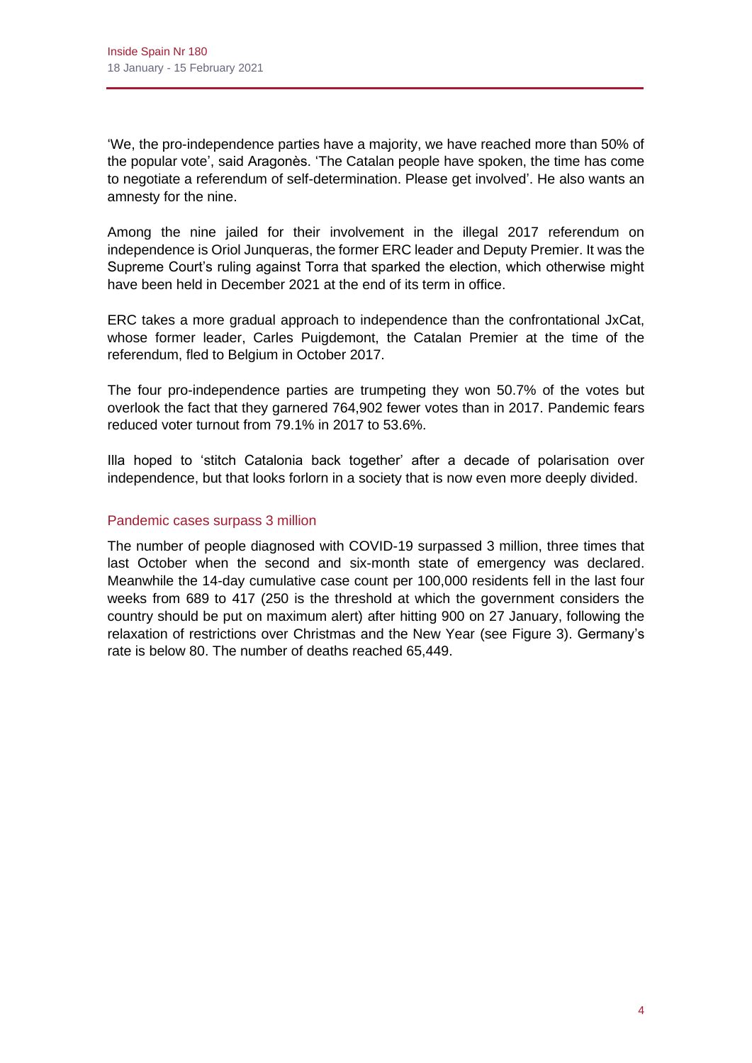'We, the pro-independence parties have a majority, we have reached more than 50% of the popular vote', said Aragonès. 'The Catalan people have spoken, the time has come to negotiate a referendum of self-determination. Please get involved'. He also wants an amnesty for the nine.

Among the nine jailed for their involvement in the illegal 2017 referendum on independence is Oriol Junqueras, the former ERC leader and Deputy Premier. It was the Supreme Court's ruling against Torra that sparked the election, which otherwise might have been held in December 2021 at the end of its term in office.

ERC takes a more gradual approach to independence than the confrontational JxCat, whose former leader, Carles Puigdemont, the Catalan Premier at the time of the referendum, fled to Belgium in October 2017.

The four pro-independence parties are trumpeting they won 50.7% of the votes but overlook the fact that they garnered 764,902 fewer votes than in 2017. Pandemic fears reduced voter turnout from 79.1% in 2017 to 53.6%.

Illa hoped to 'stitch Catalonia back together' after a decade of polarisation over independence, but that looks forlorn in a society that is now even more deeply divided.

# Pandemic cases surpass 3 million

The number of people diagnosed with COVID-19 surpassed 3 million, three times that last October when the second and six-month state of emergency was declared. Meanwhile the 14-day cumulative case count per 100,000 residents fell in the last four weeks from 689 to 417 (250 is the threshold at which the government considers the country should be put on maximum alert) after hitting 900 on 27 January, following the relaxation of restrictions over Christmas and the New Year (see Figure 3). Germany's rate is below 80. The number of deaths reached 65,449.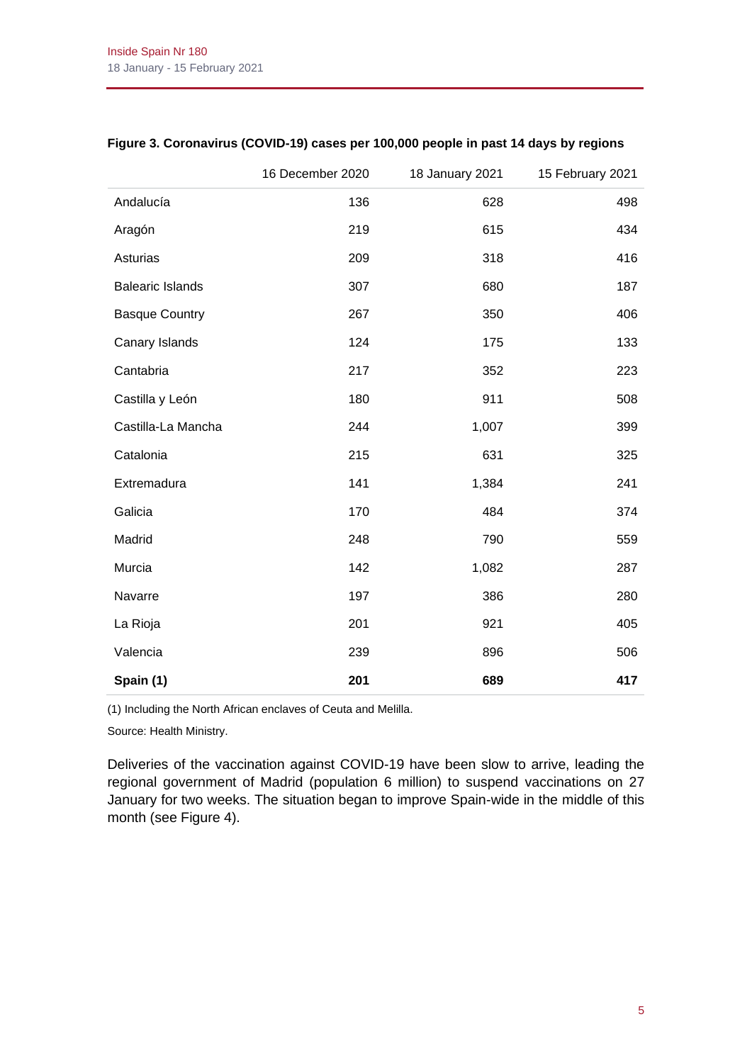|                         | 16 December 2020 | 18 January 2021 | 15 February 2021 |
|-------------------------|------------------|-----------------|------------------|
| Andalucía               | 136              | 628             | 498              |
| Aragón                  | 219              | 615             | 434              |
| Asturias                | 209              | 318             | 416              |
| <b>Balearic Islands</b> | 307              | 680             | 187              |
| <b>Basque Country</b>   | 267              | 350             | 406              |
| Canary Islands          | 124              | 175             | 133              |
| Cantabria               | 217              | 352             | 223              |
| Castilla y León         | 180              | 911             | 508              |
| Castilla-La Mancha      | 244              | 1,007           | 399              |
| Catalonia               | 215              | 631             | 325              |
| Extremadura             | 141              | 1,384           | 241              |
| Galicia                 | 170              | 484             | 374              |
| Madrid                  | 248              | 790             | 559              |
| Murcia                  | 142              | 1,082           | 287              |
| Navarre                 | 197              | 386             | 280              |
| La Rioja                | 201              | 921             | 405              |
| Valencia                | 239              | 896             | 506              |
| Spain (1)               | 201              | 689             | 417              |

# **Figure 3. Coronavirus (COVID-19) cases per 100,000 people in past 14 days by regions**

(1) Including the North African enclaves of Ceuta and Melilla.

Source: Health Ministry.

Deliveries of the vaccination against COVID-19 have been slow to arrive, leading the regional government of Madrid (population 6 million) to suspend vaccinations on 27 January for two weeks. The situation began to improve Spain-wide in the middle of this month (see Figure 4).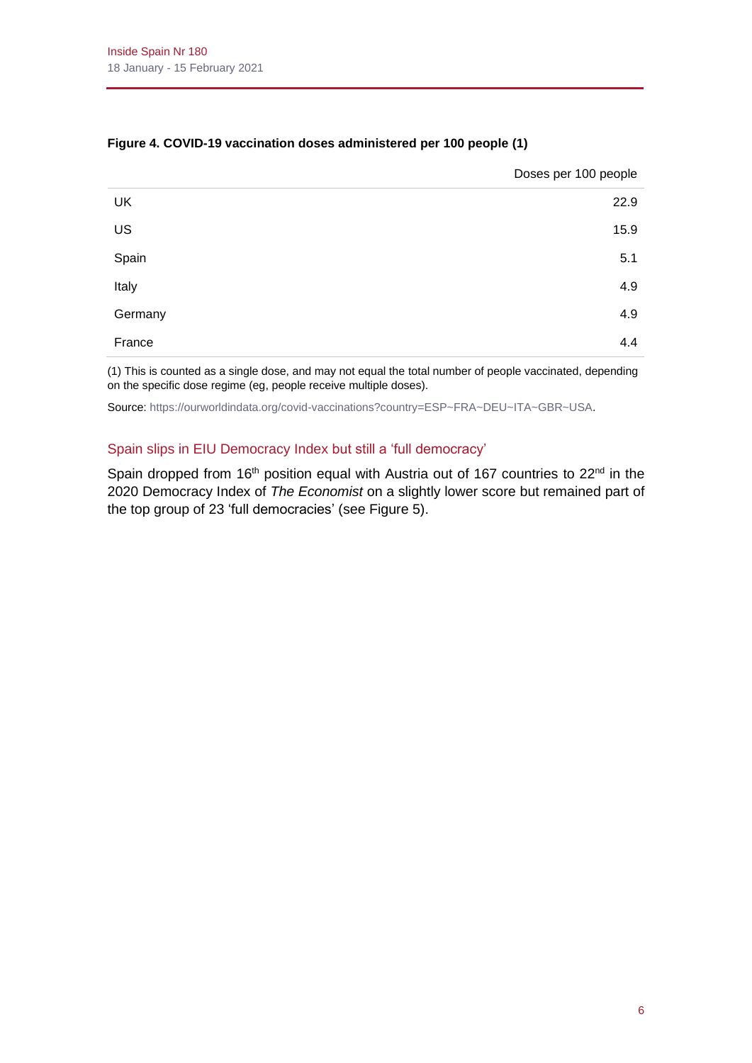|         | Doses per 100 people |
|---------|----------------------|
| UK      | 22.9                 |
| US      | 15.9                 |
| Spain   | 5.1                  |
| Italy   | 4.9                  |
| Germany | 4.9                  |
| France  | 4.4                  |

# **Figure 4. COVID-19 vaccination doses administered per 100 people (1)**

(1) This is counted as a single dose, and may not equal the total number of people vaccinated, depending on the specific dose regime (eg, people receive multiple doses).

Source[: https://ourworldindata.org/covid-vaccinations?country=ESP~FRA~DEU~ITA~GBR~USA.](https://ourworldindata.org/covid-vaccinations?country=ESP~FRA~DEU~ITA~GBR~USA)

## Spain slips in EIU Democracy Index but still a 'full democracy'

Spain dropped from 16<sup>th</sup> position equal with Austria out of 167 countries to 22<sup>nd</sup> in the 2020 Democracy Index of *The Economist* on a slightly lower score but remained part of the top group of 23 'full democracies' (see Figure 5).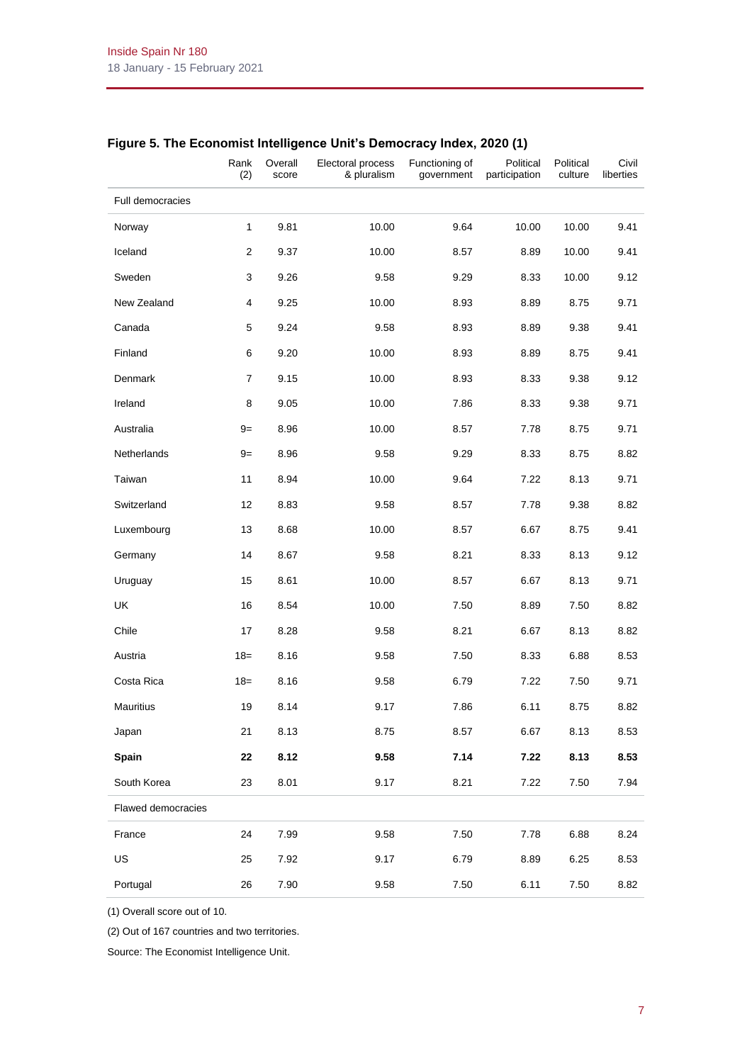|                         | Rank<br>(2)    | Overall<br>score | Electoral process<br>& pluralism | Functioning of<br>government | Political<br>participation | Political<br>culture | Civil<br>liberties |
|-------------------------|----------------|------------------|----------------------------------|------------------------------|----------------------------|----------------------|--------------------|
| <b>Full democracies</b> |                |                  |                                  |                              |                            |                      |                    |
| Norway                  | $\mathbf{1}$   | 9.81             | 10.00                            | 9.64                         | 10.00                      | 10.00                | 9.41               |
| Iceland                 | $\overline{2}$ | 9.37             | 10.00                            | 8.57                         | 8.89                       | 10.00                | 9.41               |
| Sweden                  | 3              | 9.26             | 9.58                             | 9.29                         | 8.33                       | 10.00                | 9.12               |
| New Zealand             | 4              | 9.25             | 10.00                            | 8.93                         | 8.89                       | 8.75                 | 9.71               |
| Canada                  | 5              | 9.24             | 9.58                             | 8.93                         | 8.89                       | 9.38                 | 9.41               |
| Finland                 | 6              | 9.20             | 10.00                            | 8.93                         | 8.89                       | 8.75                 | 9.41               |
| Denmark                 | $\overline{7}$ | 9.15             | 10.00                            | 8.93                         | 8.33                       | 9.38                 | 9.12               |
| Ireland                 | 8              | 9.05             | 10.00                            | 7.86                         | 8.33                       | 9.38                 | 9.71               |
| Australia               | $9=$           | 8.96             | 10.00                            | 8.57                         | 7.78                       | 8.75                 | 9.71               |
| <b>Netherlands</b>      | $9=$           | 8.96             | 9.58                             | 9.29                         | 8.33                       | 8.75                 | 8.82               |
| Taiwan                  | 11             | 8.94             | 10.00                            | 9.64                         | 7.22                       | 8.13                 | 9.71               |
| Switzerland             | 12             | 8.83             | 9.58                             | 8.57                         | 7.78                       | 9.38                 | 8.82               |
| Luxembourg              | 13             | 8.68             | 10.00                            | 8.57                         | 6.67                       | 8.75                 | 9.41               |
| Germany                 | 14             | 8.67             | 9.58                             | 8.21                         | 8.33                       | 8.13                 | 9.12               |
| Uruguay                 | 15             | 8.61             | 10.00                            | 8.57                         | 6.67                       | 8.13                 | 9.71               |
| <b>UK</b>               | 16             | 8.54             | 10.00                            | 7.50                         | 8.89                       | 7.50                 | 8.82               |
| Chile                   | 17             | 8.28             | 9.58                             | 8.21                         | 6.67                       | 8.13                 | 8.82               |
| Austria                 | $18=$          | 8.16             | 9.58                             | 7.50                         | 8.33                       | 6.88                 | 8.53               |
| Costa Rica              | $18 =$         | 8.16             | 9.58                             | 6.79                         | 7.22                       | 7.50                 | 9.71               |
| Mauritius               | 19             | 8.14             | 9.17                             | 7.86                         | 6.11                       | 8.75                 | 8.82               |
| Japan                   | 21             | 8.13             | 8.75                             | 8.57                         | 6.67                       | 8.13                 | 8.53               |
| Spain                   | 22             | 8.12             | 9.58                             | 7.14                         | 7.22                       | 8.13                 | 8.53               |
| South Korea             | 23             | 8.01             | 9.17                             | 8.21                         | 7.22                       | 7.50                 | 7.94               |
| Flawed democracies      |                |                  |                                  |                              |                            |                      |                    |
| France                  | 24             | 7.99             | 9.58                             | 7.50                         | 7.78                       | 6.88                 | 8.24               |
| US                      | 25             | 7.92             | 9.17                             | 6.79                         | 8.89                       | 6.25                 | 8.53               |
| Portugal                | 26             | 7.90             | 9.58                             | 7.50                         | 6.11                       | 7.50                 | 8.82               |

# **Figure 5. The Economist Intelligence Unit's Democracy Index, 2020 (1)**

(1) Overall score out of 10.

(2) Out of 167 countries and two territories.

Source: The Economist Intelligence Unit.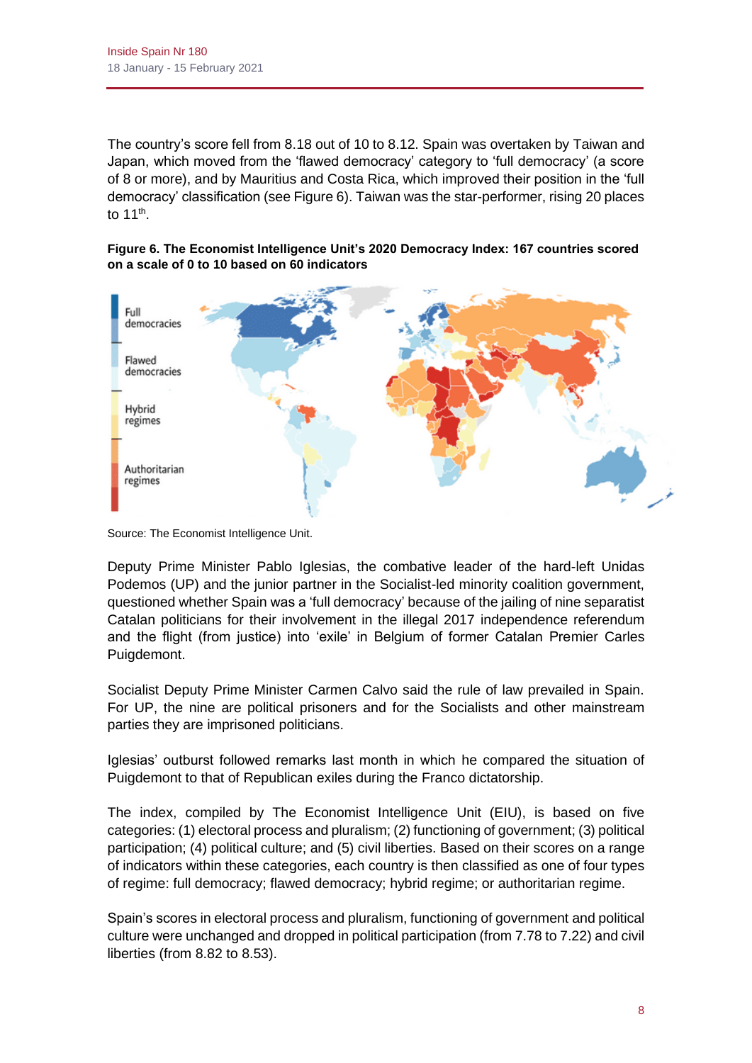The country's score fell from 8.18 out of 10 to 8.12. Spain was overtaken by Taiwan and Japan, which moved from the 'flawed democracy' category to 'full democracy' (a score of 8 or more), and by Mauritius and Costa Rica, which improved their position in the 'full democracy' classification (see Figure 6). Taiwan was the star-performer, rising 20 places to 11<sup>th</sup>.

**Figure 6. The Economist Intelligence Unit's 2020 Democracy Index: 167 countries scored on a scale of 0 to 10 based on 60 indicators**



Source: The Economist Intelligence Unit.

Deputy Prime Minister Pablo Iglesias, the combative leader of the hard-left Unidas Podemos (UP) and the junior partner in the Socialist-led minority coalition government, questioned whether Spain was a 'full democracy' because of the jailing of nine separatist Catalan politicians for their involvement in the illegal 2017 independence referendum and the flight (from justice) into 'exile' in Belgium of former Catalan Premier Carles Puigdemont.

Socialist Deputy Prime Minister Carmen Calvo said the rule of law prevailed in Spain. For UP, the nine are political prisoners and for the Socialists and other mainstream parties they are imprisoned politicians.

Iglesias' outburst followed remarks last month in which he compared the situation of Puigdemont to that of Republican exiles during the Franco dictatorship.

The index, compiled by The Economist Intelligence Unit (EIU), is based on five categories: (1) electoral process and pluralism; (2) functioning of government; (3) political participation; (4) political culture; and (5) civil liberties. Based on their scores on a range of indicators within these categories, each country is then classified as one of four types of regime: full democracy; flawed democracy; hybrid regime; or authoritarian regime.

Spain's scores in electoral process and pluralism, functioning of government and political culture were unchanged and dropped in political participation (from 7.78 to 7.22) and civil liberties (from 8.82 to 8.53).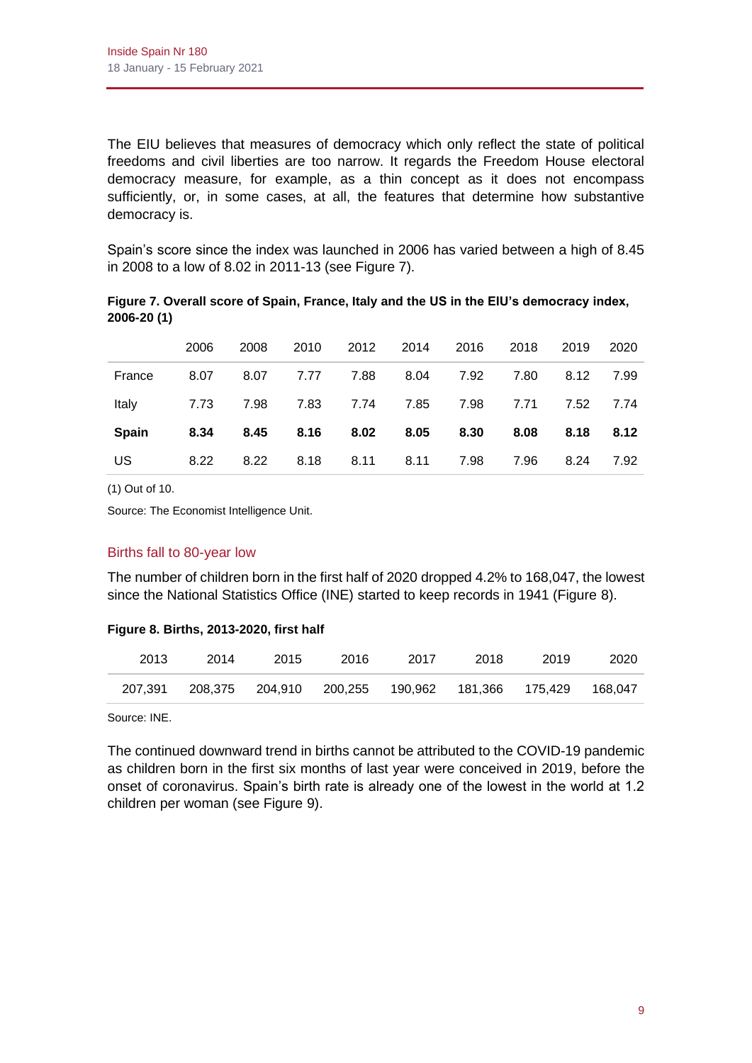The EIU believes that measures of democracy which only reflect the state of political freedoms and civil liberties are too narrow. It regards the Freedom House electoral democracy measure, for example, as a thin concept as it does not encompass sufficiently, or, in some cases, at all, the features that determine how substantive democracy is.

Spain's score since the index was launched in 2006 has varied between a high of 8.45 in 2008 to a low of 8.02 in 2011-13 (see Figure 7).

|              | 2006 | 2008 | 2010 | 2012 | 2014 | 2016 | 2018 | 2019 | 2020 |
|--------------|------|------|------|------|------|------|------|------|------|
| France       | 8.07 | 8.07 | 7.77 | 7.88 | 8.04 | 7.92 | 7.80 | 8.12 | 7.99 |
| Italy        | 7.73 | 7.98 | 7.83 | 7.74 | 7.85 | 7.98 | 7.71 | 7.52 | 7.74 |
| <b>Spain</b> | 8.34 | 8.45 | 8.16 | 8.02 | 8.05 | 8.30 | 8.08 | 8.18 | 8.12 |
| US           | 8.22 | 8.22 | 8.18 | 8.11 | 8.11 | 7.98 | 7.96 | 8.24 | 7.92 |

**Figure 7. Overall score of Spain, France, Italy and the US in the EIU's democracy index, 2006-20 (1)**

(1) Out of 10.

Source: The Economist Intelligence Unit.

# Births fall to 80-year low

The number of children born in the first half of 2020 dropped 4.2% to 168,047, the lowest since the National Statistics Office (INE) started to keep records in 1941 (Figure 8).

#### **Figure 8. Births, 2013-2020, first half**

| 2013    | 2014 | 2015 | 2016 | 2017                                                 | 2018 | 2019 | 2020    |
|---------|------|------|------|------------------------------------------------------|------|------|---------|
| 207.391 |      |      |      | 208,375  204,910  200,255  190,962  181,366  175,429 |      |      | 168.047 |

Source: INE.

The continued downward trend in births cannot be attributed to the COVID-19 pandemic as children born in the first six months of last year were conceived in 2019, before the onset of coronavirus. Spain's birth rate is already one of the lowest in the world at 1.2 children per woman (see Figure 9).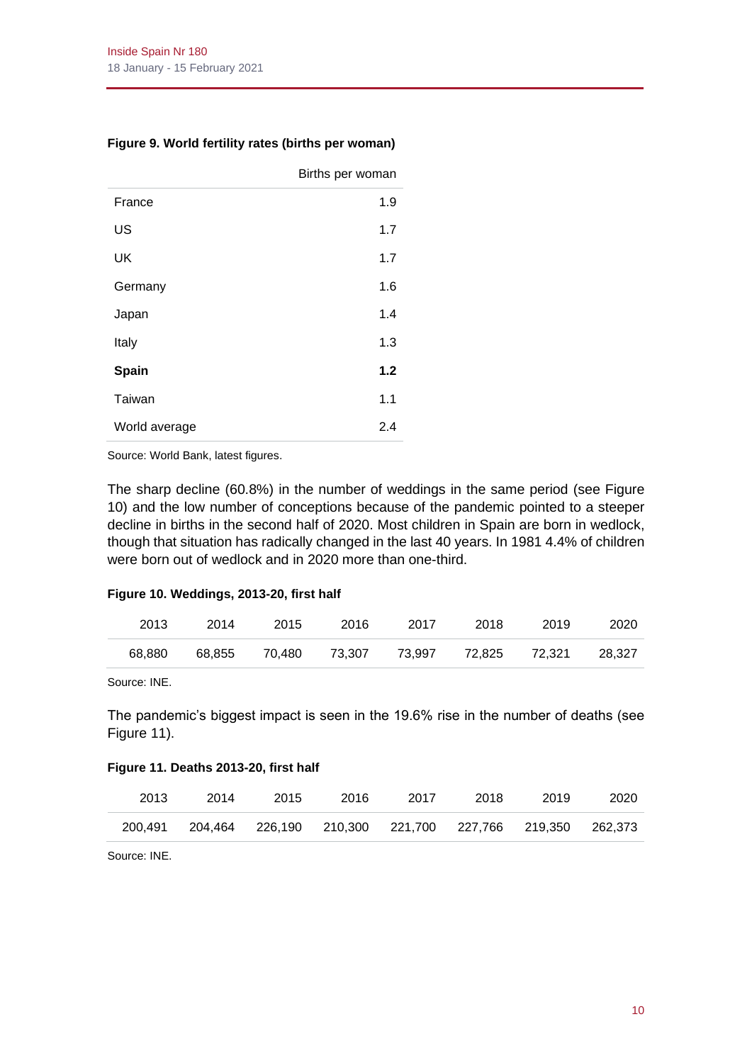|               | Births per woman |
|---------------|------------------|
| France        | 1.9              |
| US            | 1.7              |
| UK            | 1.7              |
| Germany       | 1.6              |
| Japan         | 1.4              |
| Italy         | 1.3              |
| Spain         | 1.2              |
| Taiwan        | 1.1              |
| World average | 2.4              |

## **Figure 9. World fertility rates (births per woman)**

Source: World Bank, latest figures.

The sharp decline (60.8%) in the number of weddings in the same period (see Figure 10) and the low number of conceptions because of the pandemic pointed to a steeper decline in births in the second half of 2020. Most children in Spain are born in wedlock, though that situation has radically changed in the last 40 years. In 1981 4.4% of children were born out of wedlock and in 2020 more than one-third.

#### **Figure 10. Weddings, 2013-20, first half**

| 2013   | 2014   | 2015   | 2016   | 2017   | 2018   | 2019   | 2020   |
|--------|--------|--------|--------|--------|--------|--------|--------|
| 68.880 | 68.855 | 70.480 | 73.307 | 73.997 | 72.825 | 72.321 | 28.327 |

Source: INE.

The pandemic's biggest impact is seen in the 19.6% rise in the number of deaths (see Figure 11).

#### **Figure 11. Deaths 2013-20, first half**

| 2013    | 2014    | 2015 | 2016 | 2017                                        | 2018 | 2019 | 2020    |
|---------|---------|------|------|---------------------------------------------|------|------|---------|
| 200.491 | 204.464 |      |      | 226,190  210,300  221,700  227,766  219,350 |      |      | 262.373 |

Source: INE.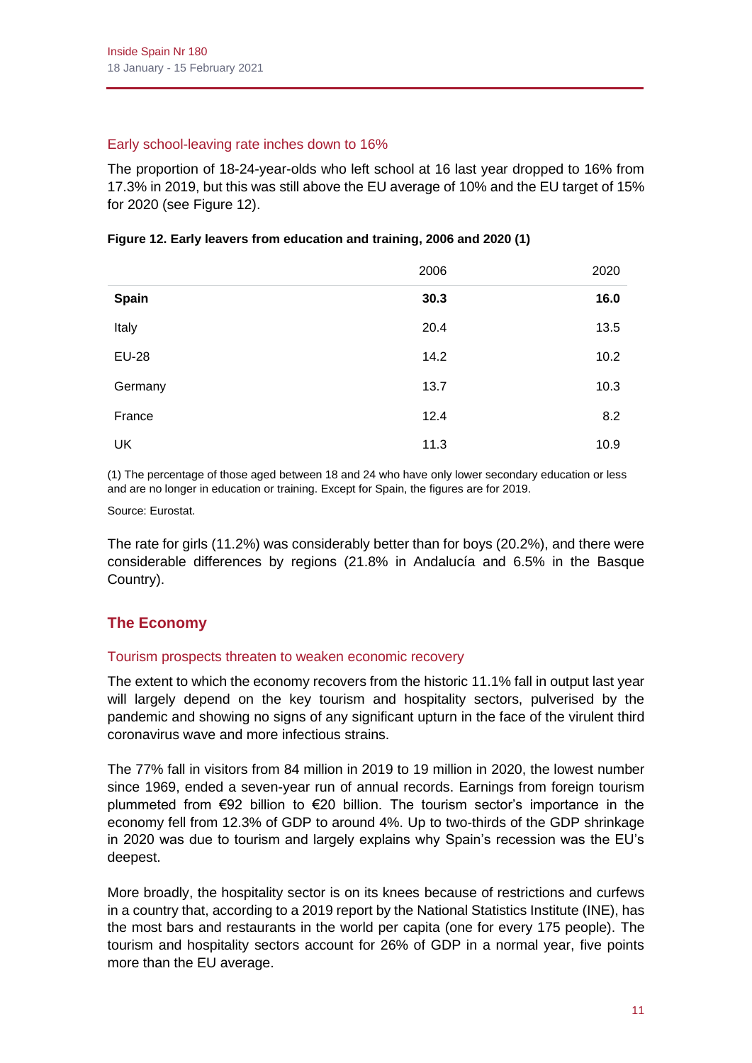# Early school-leaving rate inches down to 16%

The proportion of 18-24-year-olds who left school at 16 last year dropped to 16% from 17.3% in 2019, but this was still above the EU average of 10% and the EU target of 15% for 2020 (see Figure 12).

|              | 2006 | 2020 |
|--------------|------|------|
| <b>Spain</b> | 30.3 | 16.0 |
| Italy        | 20.4 | 13.5 |
| <b>EU-28</b> | 14.2 | 10.2 |
| Germany      | 13.7 | 10.3 |
| France       | 12.4 | 8.2  |
| UK           | 11.3 | 10.9 |

## **Figure 12. Early leavers from education and training, 2006 and 2020 (1)**

(1) The percentage of those aged between 18 and 24 who have only lower secondary education or less and are no longer in education or training. Except for Spain, the figures are for 2019.

Source: Eurostat.

The rate for girls (11.2%) was considerably better than for boys (20.2%), and there were considerable differences by regions (21.8% in Andalucía and 6.5% in the Basque Country).

# **The Economy**

# Tourism prospects threaten to weaken economic recovery

The extent to which the economy recovers from the historic 11.1% fall in output last year will largely depend on the key tourism and hospitality sectors, pulverised by the pandemic and showing no signs of any significant upturn in the face of the virulent third coronavirus wave and more infectious strains.

The 77% fall in visitors from 84 million in 2019 to 19 million in 2020, the lowest number since 1969, ended a seven-year run of annual records. Earnings from foreign tourism plummeted from €92 billion to €20 billion. The tourism sector's importance in the economy fell from 12.3% of GDP to around 4%. Up to two-thirds of the GDP shrinkage in 2020 was due to tourism and largely explains why Spain's recession was the EU's deepest.

More broadly, the hospitality sector is on its knees because of restrictions and curfews in a country that, according to a 2019 report by the National Statistics Institute (INE), has the most bars and restaurants in the world per capita (one for every 175 people). The tourism and hospitality sectors account for 26% of GDP in a normal year, five points more than the EU average.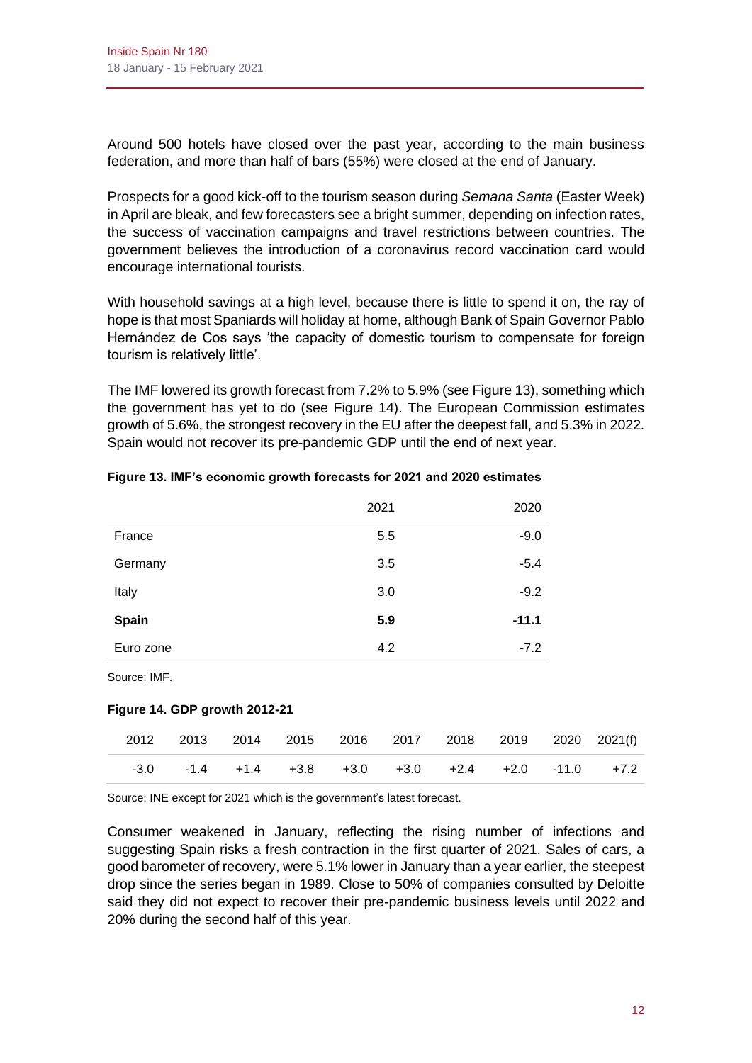Around 500 hotels have closed over the past year, according to the main business federation, and more than half of bars (55%) were closed at the end of January.

Prospects for a good kick-off to the tourism season during *Semana Santa* (Easter Week) in April are bleak, and few forecasters see a bright summer, depending on infection rates, the success of vaccination campaigns and travel restrictions between countries. The government believes the introduction of a coronavirus record vaccination card would encourage international tourists.

With household savings at a high level, because there is little to spend it on, the ray of hope is that most Spaniards will holiday at home, although Bank of Spain Governor Pablo Hernández de Cos says 'the capacity of domestic tourism to compensate for foreign tourism is relatively little'.

The IMF lowered its growth forecast from 7.2% to 5.9% (see Figure 13), something which the government has yet to do (see Figure 14). The European Commission estimates growth of 5.6%, the strongest recovery in the EU after the deepest fall, and 5.3% in 2022. Spain would not recover its pre-pandemic GDP until the end of next year.

|              | 2021 | 2020    |
|--------------|------|---------|
| France       | 5.5  | $-9.0$  |
| Germany      | 3.5  | $-5.4$  |
| Italy        | 3.0  | $-9.2$  |
| <b>Spain</b> | 5.9  | $-11.1$ |
| Euro zone    | 4.2  | $-7.2$  |

#### **Figure 13. IMF's economic growth forecasts for 2021 and 2020 estimates**

Source: IMF.

# **Figure 14. GDP growth 2012-21**

|  |  |  |  | 2012 2013 2014 2015 2016 2017 2018 2019 2020 2021(f)                   |
|--|--|--|--|------------------------------------------------------------------------|
|  |  |  |  | $-3.0$ $-1.4$ $+1.4$ $+3.8$ $+3.0$ $+3.0$ $+2.4$ $+2.0$ $-11.0$ $+7.2$ |

Source: INE except for 2021 which is the government's latest forecast.

Consumer weakened in January, reflecting the rising number of infections and suggesting Spain risks a fresh contraction in the first quarter of 2021. Sales of cars, a good barometer of recovery, were 5.1% lower in January than a year earlier, the steepest drop since the series began in 1989. Close to 50% of companies consulted by Deloitte said they did not expect to recover their pre-pandemic business levels until 2022 and 20% during the second half of this year.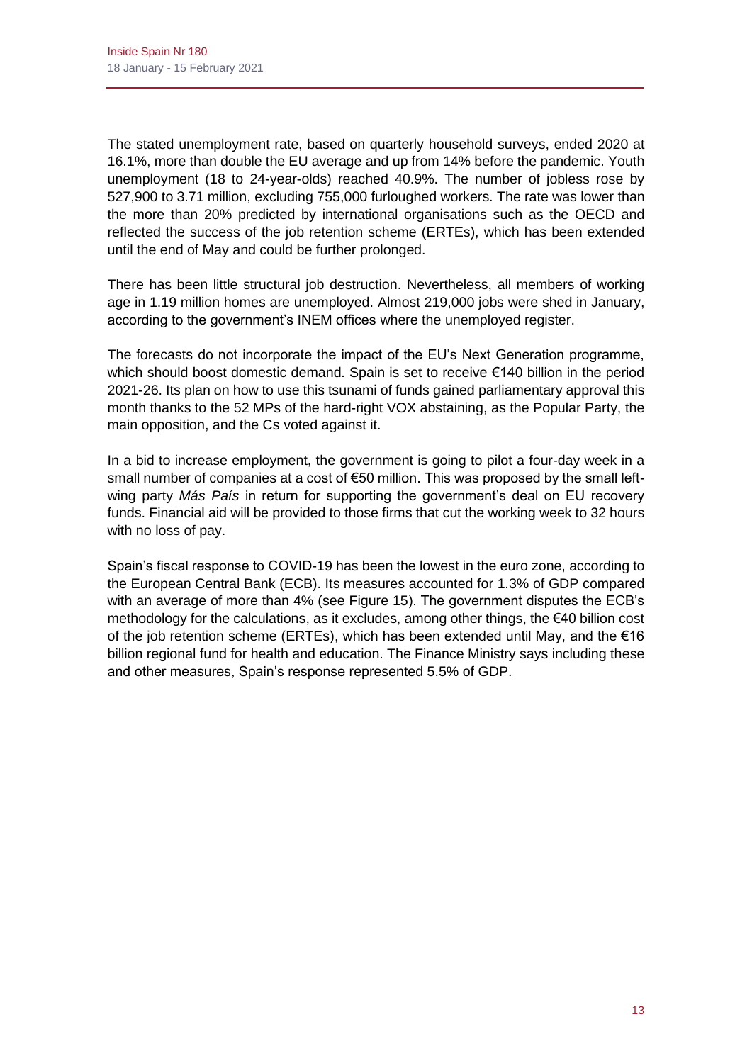The stated unemployment rate, based on quarterly household surveys, ended 2020 at 16.1%, more than double the EU average and up from 14% before the pandemic. Youth unemployment (18 to 24-year-olds) reached 40.9%. The number of jobless rose by 527,900 to 3.71 million, excluding 755,000 furloughed workers. The rate was lower than the more than 20% predicted by international organisations such as the OECD and reflected the success of the job retention scheme (ERTEs), which has been extended until the end of May and could be further prolonged.

There has been little structural job destruction. Nevertheless, all members of working age in 1.19 million homes are unemployed. Almost 219,000 jobs were shed in January, according to the government's INEM offices where the unemployed register.

The forecasts do not incorporate the impact of the EU's Next Generation programme, which should boost domestic demand. Spain is set to receive €140 billion in the period 2021-26. Its plan on how to use this tsunami of funds gained parliamentary approval this month thanks to the 52 MPs of the hard-right VOX abstaining, as the Popular Party, the main opposition, and the Cs voted against it.

In a bid to increase employment, the government is going to pilot a four-day week in a small number of companies at a cost of €50 million. This was proposed by the small leftwing party *Más País* in return for supporting the government's deal on EU recovery funds. Financial aid will be provided to those firms that cut the working week to 32 hours with no loss of pay.

Spain's fiscal response to COVID-19 has been the lowest in the euro zone, according to the European Central Bank (ECB). Its measures accounted for 1.3% of GDP compared with an average of more than 4% (see Figure 15). The government disputes the ECB's methodology for the calculations, as it excludes, among other things, the €40 billion cost of the job retention scheme (ERTEs), which has been extended until May, and the  $\epsilon$ 16 billion regional fund for health and education. The Finance Ministry says including these and other measures, Spain's response represented 5.5% of GDP.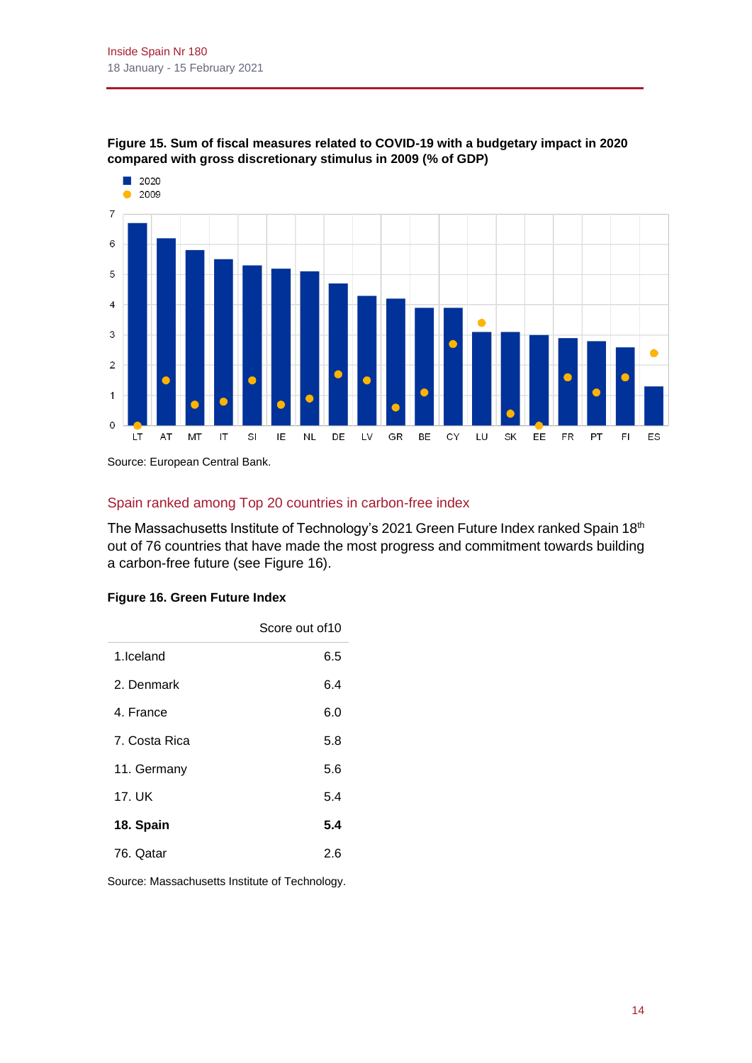2020





Source: European Central Bank.

# Spain ranked among Top 20 countries in carbon-free index

The Massachusetts Institute of Technology's 2021 Green Future Index ranked Spain 18th out of 76 countries that have made the most progress and commitment towards building a carbon-free future (see Figure 16).

#### **Figure 16. Green Future Index**

|               | Score out of 10 |
|---------------|-----------------|
| 1.Iceland     | 6.5             |
| 2. Denmark    | 6.4             |
| 4. France     | 6.0             |
| 7. Costa Rica | 5.8             |
| 11. Germany   | 5.6             |
| 17. UK        | 5.4             |
| 18. Spain     | 5.4             |
| 76. Qatar     | 26              |

Source: Massachusetts Institute of Technology.